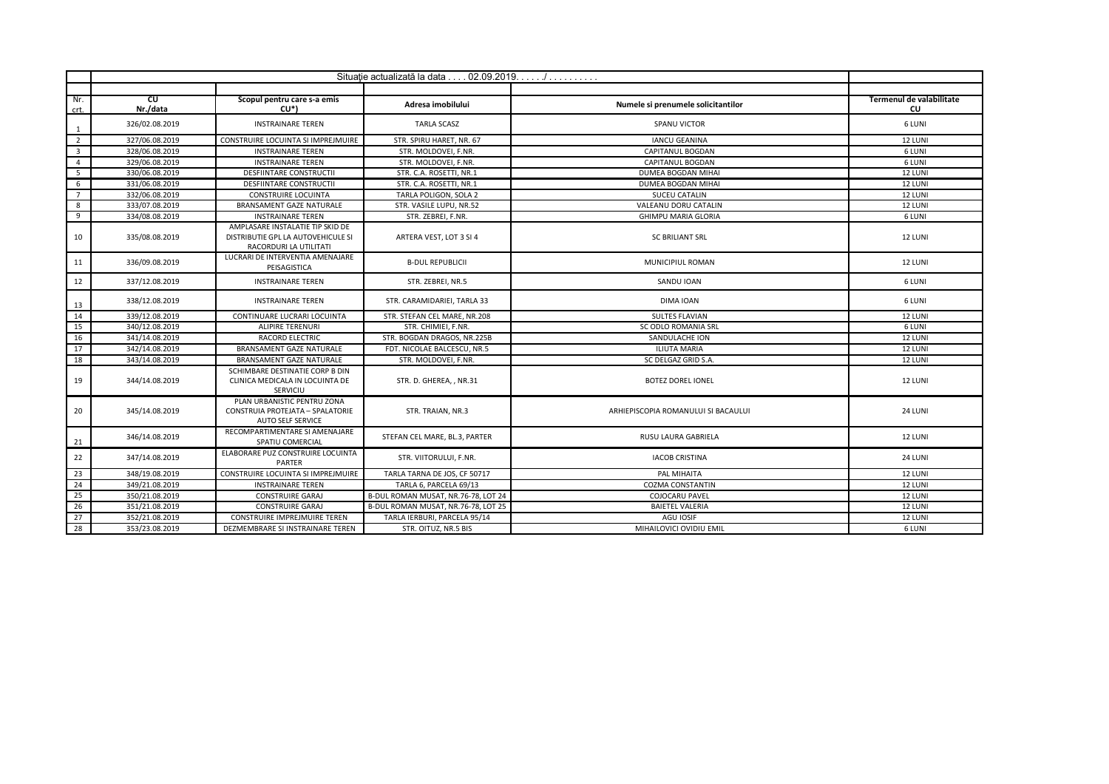|                | Situație actualizată la data  02.09.2019/    |                                                                                                  |                                     |                                     |                                |  |
|----------------|----------------------------------------------|--------------------------------------------------------------------------------------------------|-------------------------------------|-------------------------------------|--------------------------------|--|
|                |                                              |                                                                                                  |                                     |                                     |                                |  |
| Nr.<br>crt.    | $\overline{\text{c}^{\text{U}}}$<br>Nr./data | Scopul pentru care s-a emis<br>$CU^*$                                                            | Adresa imobilului                   | Numele si prenumele solicitantilor  | Termenul de valabilitate<br>CU |  |
| 1              | 326/02.08.2019                               | <b>INSTRAINARE TEREN</b>                                                                         | <b>TARLA SCASZ</b>                  | SPANU VICTOR                        | 6 LUNI                         |  |
| $\overline{2}$ | 327/06.08.2019                               | CONSTRUIRE LOCUINTA SI IMPREJMUIRE                                                               | STR. SPIRU HARET, NR. 67            | <b>IANCU GEANINA</b>                | 12 LUNI                        |  |
| $\overline{3}$ | 328/06.08.2019                               | <b>INSTRAINARE TEREN</b>                                                                         | STR. MOLDOVEI. F.NR.                | <b>CAPITANUL BOGDAN</b>             | 6 LUNI                         |  |
| $\overline{4}$ | 329/06.08.2019                               | <b>INSTRAINARE TEREN</b>                                                                         | STR. MOLDOVEI, F.NR.                | CAPITANUL BOGDAN                    | 6 LUNI                         |  |
| 5              | 330/06.08.2019                               | DESFIINTARE CONSTRUCTII                                                                          | STR. C.A. ROSETTI, NR.1             | DUMEA BOGDAN MIHAI                  | 12 LUNI                        |  |
| 6              | 331/06.08.2019                               | DESFIINTARE CONSTRUCTII                                                                          | STR. C.A. ROSETTI, NR.1             | DUMEA BOGDAN MIHAI                  | 12 LUNI                        |  |
| $\overline{7}$ | 332/06.08.2019                               | <b>CONSTRUIRE LOCUINTA</b>                                                                       | TARLA POLIGON, SOLA 2               | <b>SUCEU CATALIN</b>                | 12 LUNI                        |  |
| 8              | 333/07.08.2019                               | BRANSAMENT GAZE NATURALE                                                                         | STR. VASILE LUPU, NR.52             | VALEANU DORU CATALIN                | 12 LUNI                        |  |
| 9              | 334/08.08.2019                               | <b>INSTRAINARE TEREN</b>                                                                         | STR. ZEBREI, F.NR.                  | GHIMPU MARIA GLORIA                 | 6 LUNI                         |  |
| 10             | 335/08.08.2019                               | AMPLASARE INSTALATIE TIP SKID DE<br>DISTRIBUTIE GPL LA AUTOVEHICULE SI<br>RACORDURI LA UTILITATI | ARTERA VEST, LOT 3 SI 4             | <b>SC BRILIANT SRL</b>              | 12 LUNI                        |  |
| 11             | 336/09.08.2019                               | LUCRARI DE INTERVENTIA AMENAJARE<br>PEISAGISTICA                                                 | <b>B-DUL REPUBLICII</b>             | MUNICIPIUL ROMAN                    | 12 LUNI                        |  |
| 12             | 337/12.08.2019                               | <b>INSTRAINARE TEREN</b>                                                                         | STR. ZEBREI, NR.5                   | SANDU IOAN                          | 6 LUNI                         |  |
| 13             | 338/12.08.2019                               | <b>INSTRAINARE TEREN</b>                                                                         | STR. CARAMIDARIEI, TARLA 33         | DIMA IOAN                           | 6 LUNI                         |  |
| 14             | 339/12.08.2019                               | CONTINUARE LUCRARI LOCUINTA                                                                      | STR. STEFAN CEL MARE, NR.208        | <b>SULTES FLAVIAN</b>               | 12 LUNI                        |  |
| 15             | 340/12.08.2019                               | <b>ALIPIRE TERENURI</b>                                                                          | STR. CHIMIEI, F.NR.                 | SC ODLO ROMANIA SRL                 | 6 LUNI                         |  |
| 16             | 341/14.08.2019                               | <b>RACORD ELECTRIC</b>                                                                           | STR. BOGDAN DRAGOS, NR.225B         | SANDULACHE ION                      | 12 LUNI                        |  |
| 17             | 342/14.08.2019                               | BRANSAMENT GAZE NATURALE                                                                         | FDT. NICOLAE BALCESCU, NR.5         | <b>ILIUTA MARIA</b>                 | 12 LUNI                        |  |
| 18             | 343/14.08.2019                               | BRANSAMENT GAZE NATURALE                                                                         | STR. MOLDOVEI, F.NR.                | SC DELGAZ GRID S.A.                 | 12 LUNI                        |  |
| 19             | 344/14.08.2019                               | SCHIMBARE DESTINATIE CORP B DIN<br>CLINICA MEDICALA IN LOCUINTA DE<br>SERVICIU                   | STR. D. GHEREA, , NR.31             | <b>BOTEZ DOREL IONEL</b>            | 12 LUNI                        |  |
| 20             | 345/14.08.2019                               | PLAN URBANISTIC PENTRU ZONA<br>CONSTRUIA PROTEJATA - SPALATORIE<br><b>AUTO SELF SERVICE</b>      | STR. TRAIAN, NR.3                   | ARHIEPISCOPIA ROMANULUI SI BACAULUI | 24 LUNI                        |  |
| 21             | 346/14.08.2019                               | RECOMPARTIMENTARE SI AMENAJARE<br>SPATIU COMERCIAL                                               | STEFAN CEL MARE, BL.3, PARTER       | RUSU LAURA GABRIELA                 | 12 LUNI                        |  |
| 22             | 347/14.08.2019                               | ELABORARE PUZ CONSTRUIRE LOCUINTA<br><b>PARTER</b>                                               | STR. VIITORULUI, F.NR.              | <b>IACOB CRISTINA</b>               | 24 LUNI                        |  |
| 23             | 348/19.08.2019                               | CONSTRUIRE LOCUINTA SI IMPREJMUIRE                                                               | TARLA TARNA DE JOS, CF 50717        | PAL MIHAITA                         | 12 LUNI                        |  |
| 24             | 349/21.08.2019                               | <b>INSTRAINARE TEREN</b>                                                                         | TARLA 6, PARCELA 69/13              | <b>COZMA CONSTANTIN</b>             | 12 LUNI                        |  |
| 25             | 350/21.08.2019                               | <b>CONSTRUIRE GARAJ</b>                                                                          | B-DUL ROMAN MUSAT, NR.76-78, LOT 24 | <b>COJOCARU PAVEL</b>               | 12 LUNI                        |  |
| 26             | 351/21.08.2019                               | <b>CONSTRUIRE GARAJ</b>                                                                          | B-DUL ROMAN MUSAT, NR.76-78, LOT 25 | <b>BAIETEL VALERIA</b>              | 12 LUNI                        |  |
| 27             | 352/21.08.2019                               | <b>CONSTRUIRE IMPREJMUIRE TEREN</b>                                                              | TARLA IERBURI, PARCELA 95/14        | AGU IOSIF                           | 12 LUNI                        |  |
| 28             | 353/23.08.2019                               | DEZMEMBRARE SI INSTRAINARE TEREN                                                                 | STR. OITUZ, NR.5 BIS                | MIHAILOVICI OVIDIU EMIL             | 6 LUNI                         |  |